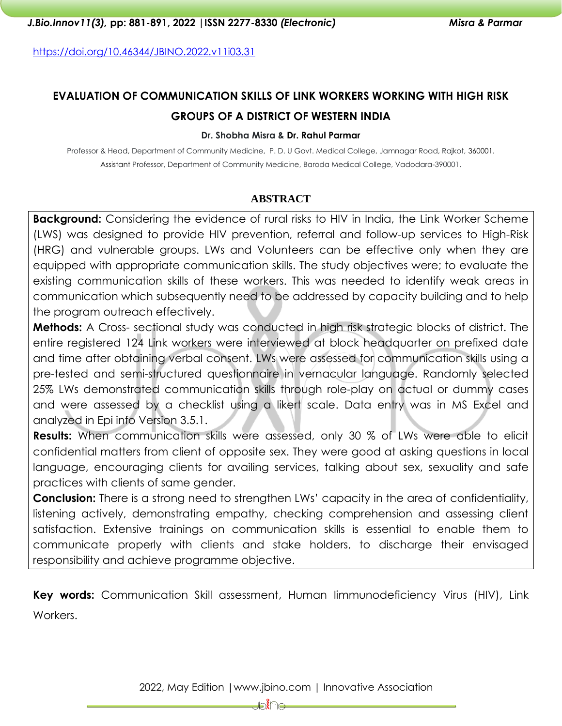<https://doi.org/10.46344/JBINO.2022.v11i03.31>

# **EVALUATION OF COMMUNICATION SKILLS OF LINK WORKERS WORKING WITH HIGH RISK GROUPS OF A DISTRICT OF WESTERN INDIA**

#### **Dr. Shobha Misra & Dr. Rahul Parmar**

Professor & Head, Department of Community Medicine, P. D. U Govt. Medical College, Jamnagar Road, Rajkot, 360001. Assistant Professor, Department of Community Medicine, Baroda Medical College, Vadodara-390001.

### **ABSTRACT**

**Background:** Considering the evidence of rural risks to HIV in India, the Link Worker Scheme (LWS) was designed to provide HIV prevention, referral and follow-up services to High-Risk (HRG) and vulnerable groups. LWs and Volunteers can be effective only when they are equipped with appropriate communication skills. The study objectives were; to evaluate the existing communication skills of these workers. This was needed to identify weak areas in communication which subsequently need to be addressed by capacity building and to help the program outreach effectively.

**Methods:** A Cross- sectional study was conducted in high risk strategic blocks of district. The entire registered 124 Link workers were interviewed at block headquarter on prefixed date and time after obtaining verbal consent. LWs were assessed for communication skills using a pre-tested and semi-structured questionnaire in vernacular language. Randomly selected 25% LWs demonstrated communication skills through role-play on actual or dummy cases and were assessed by a checklist using a likert scale. Data entry was in MS Excel and analyzed in Epi info Version 3.5.1.

**Results:** When communication skills were assessed, only 30 % of LWs were able to elicit confidential matters from client of opposite sex. They were good at asking questions in local language, encouraging clients for availing services, talking about sex, sexuality and safe practices with clients of same gender.

**Conclusion:** There is a strong need to strengthen LWs' capacity in the area of confidentiality, listening actively, demonstrating empathy, checking comprehension and assessing client satisfaction. Extensive trainings on communication skills is essential to enable them to communicate properly with clients and stake holders, to discharge their envisaged responsibility and achieve programme objective.

**Key words:** Communication Skill assessment, Human Iimmunodeficiency Virus (HIV), Link Workers.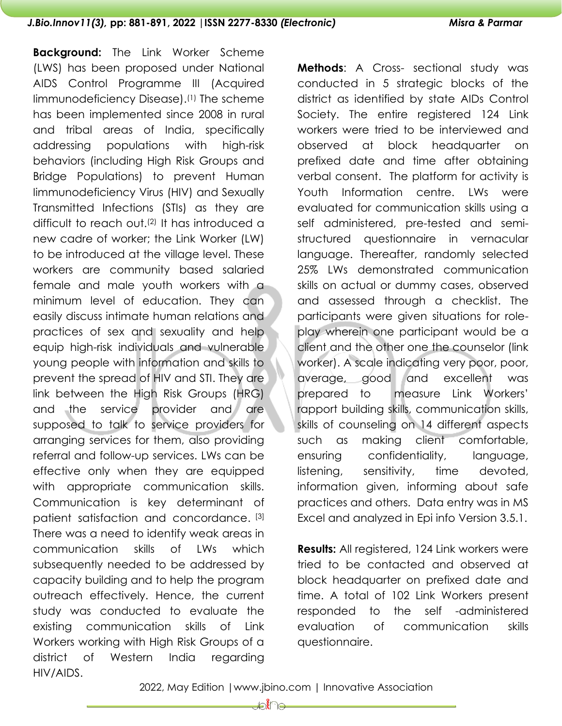**Background:** The Link Worker Scheme (LWS) has been proposed under National AIDS Control Programme III (Acquired Iimmunodeficiency Disease). (1) The scheme has been implemented since 2008 in rural and tribal areas of India, specifically addressing populations with high-risk behaviors (including High Risk Groups and Bridge Populations) to prevent Human Iimmunodeficiency Virus (HIV) and Sexually Transmitted Infections (STIs) as they are difficult to reach out.(2) It has introduced a new cadre of worker; the Link Worker (LW) to be introduced at the village level. These workers are community based salaried female and male youth workers with a minimum level of education. They can easily discuss intimate human relations and practices of sex and sexuality and help equip high-risk individuals and vulnerable young people with information and skills to prevent the spread of HIV and STI. They are link between the High Risk Groups (HRG) and the service provider and are supposed to talk to service providers for arranging services for them, also providing referral and follow-up services. LWs can be effective only when they are equipped with appropriate communication skills. Communication is key determinant of patient satisfaction and concordance. [3] There was a need to identify weak areas in communication skills of LWs which subsequently needed to be addressed by capacity building and to help the program outreach effectively. Hence, the current study was conducted to evaluate the existing communication skills of Link Workers working with High Risk Groups of a district of Western India regarding HIV/AIDS.

**Methods**: A Cross- sectional study was conducted in 5 strategic blocks of the district as identified by state AIDs Control Society. The entire registered 124 Link workers were tried to be interviewed and observed at block headquarter on prefixed date and time after obtaining verbal consent. The platform for activity is Youth Information centre. LWs were evaluated for communication skills using a self administered, pre-tested and semistructured questionnaire in vernacular language. Thereafter, randomly selected 25% LWs demonstrated communication skills on actual or dummy cases, observed and assessed through a checklist. The participants were given situations for roleplay wherein one participant would be a client and the other one the counselor (link worker). A scale indicating very poor, poor, average, good and excellent was prepared to measure Link Workers' rapport building skills, communication skills, skills of counseling on 14 different aspects such as making client comfortable, ensuring confidentiality, language, listening, sensitivity, time devoted, information given, informing about safe practices and others. Data entry was in MS Excel and analyzed in Epi info Version 3.5.1.

**Results:** All registered, 124 Link workers were tried to be contacted and observed at block headquarter on prefixed date and time. A total of 102 Link Workers present responded to the self -administered evaluation of communication skills questionnaire.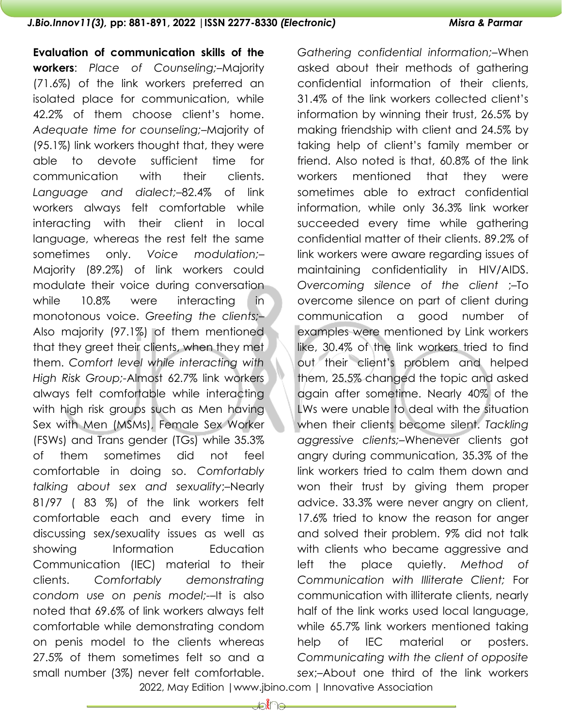**Evaluation of communication skills of the workers**: *Place of Counseling;*–Majority (71.6%) of the link workers preferred an isolated place for communication, while 42.2% of them choose client's home. *Adequate time for counseling;*–Majority of (95.1%) link workers thought that, they were able to devote sufficient time for communication with their clients. *Language and dialect;*–82.4% of link workers always felt comfortable while interacting with their client in local language, whereas the rest felt the same sometimes only. *Voice modulation;*– Majority (89.2%) of link workers could modulate their voice during conversation while 10.8% were interacting in monotonous voice. *Greeting the clients;*– Also majority (97.1%) of them mentioned that they greet their clients, when they met them. *Comfort level while interacting with High Risk Group;-*Almost 62.7% link workers always felt comfortable while interacting with high risk groups such as Men having Sex with Men (MSMs), Female Sex Worker (FSWs) and Trans gender (TGs) while 35.3% of them sometimes did not feel comfortable in doing so. *Comfortably talking about sex and sexuality*;–Nearly 81/97 ( 83 %) of the link workers felt comfortable each and every time in discussing sex/sexuality issues as well as showing Information Education Communication (IEC) material to their clients. *Comfortably demonstrating condom use on penis model;-*–It is also noted that 69.6% of link workers always felt comfortable while demonstrating condom on penis model to the clients whereas 27.5% of them sometimes felt so and a small number (3%) never felt comfortable.

*Gathering confidential information;*–When asked about their methods of gathering confidential information of their clients, 31.4% of the link workers collected client's information by winning their trust, 26.5% by making friendship with client and 24.5% by taking help of client's family member or friend. Also noted is that, 60.8% of the link workers mentioned that they were sometimes able to extract confidential information, while only 36.3% link worker succeeded every time while gathering confidential matter of their clients. 89.2% of link workers were aware regarding issues of maintaining confidentiality in HIV/AIDS. *Overcoming silence of the client* ;–To overcome silence on part of client during communication a good number of examples were mentioned by Link workers like, 30.4% of the link workers tried to find out their client's problem and helped them, 25.5% changed the topic and asked again after sometime. Nearly 40% of the LWs were unable to deal with the situation when their clients become silent. *Tackling aggressive clients;*–Whenever clients got angry during communication, 35.3% of the link workers tried to calm them down and won their trust by giving them proper advice. 33.3% were never angry on client, 17.6% tried to know the reason for anger and solved their problem. 9% did not talk with clients who became aggressive and left the place quietly. *Method of Communication with Illiterate Client;* For communication with illiterate clients, nearly half of the link works used local language, while 65.7% link workers mentioned taking help of IEC material or posters. *Communicating with the client of opposite sex*;–About one third of the link workers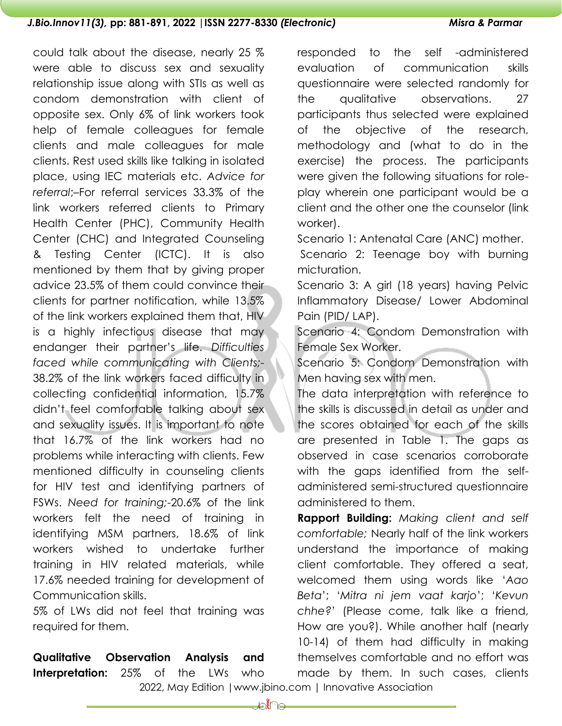could talk about the disease, nearly 25 % were able to discuss sex and sexuality relationship issue along with STIs as well as condom demonstration with client of opposite sex. Only 6% of link workers took help of female colleagues for female clients and male colleagues for male clients. Rest used skills like talking in isolated place, using IEC materials etc. *Advice for referral*;–For referral services 33.3% of the link workers referred clients to Primary Health Center (PHC), Community Health Center (CHC) and Integrated Counseling & Testing Center (ICTC). It is also mentioned by them that by giving proper advice 23.5% of them could convince their clients for partner notification, while 13.5% of the link workers explained them that, HIV is a highly infectious disease that may endanger their partner's life. *Difficulties faced while communicating with Clients;-* 38.2% of the link workers faced difficulty in collecting confidential information, 15.7% didn't feel comfortable talking about sex and sexuality issues. It is important to note that 16.7% of the link workers had no problems while interacting with clients. Few mentioned difficulty in counseling clients for HIV test and identifying partners of FSWs. *Need for training;*-20.6% of the link workers felt the need of training in identifying MSM partners, 18.6% of link workers wished to undertake further training in HIV related materials, while 17.6% needed training for development of Communication skills.

5% of LWs did not feel that training was required for them.

**Qualitative Observation Analysis and Interpretation:** 25% of the LWs who

responded to the self -administered evaluation of communication skills questionnaire were selected randomly for the qualitative observations. 27 participants thus selected were explained of the objective of the research, methodology and (what to do in the exercise) the process. The participants were given the following situations for roleplay wherein one participant would be a client and the other one the counselor (link worker).

Scenario 1: Antenatal Care (ANC) mother.

Scenario 2: Teenage boy with burning micturation.

Scenario 3: A girl (18 years) having Pelvic Inflammatory Disease/ Lower Abdominal Pain (PID/ LAP).

Scenario 4: Condom Demonstration with Female Sex Worker.

Scenario 5: Condom Demonstration with Men having sex with men.

The data interpretation with reference to the skills is discussed in detail as under and the scores obtained for each of the skills are presented in Table 1. The gaps as observed in case scenarios corroborate with the gaps identified from the selfadministered semi-structured questionnaire administered to them.

**Rapport Building:** *Making client and self comfortable;* Nearly half of the link workers understand the importance of making client comfortable. They offered a seat, welcomed them using words like '*Aao Beta*'; '*Mitra ni jem vaat karjo*'; '*Kevun chhe?*' (Please come, talk like a friend, How are you?). While another half (nearly 10-14) of them had difficulty in making themselves comfortable and no effort was made by them. In such cases, clients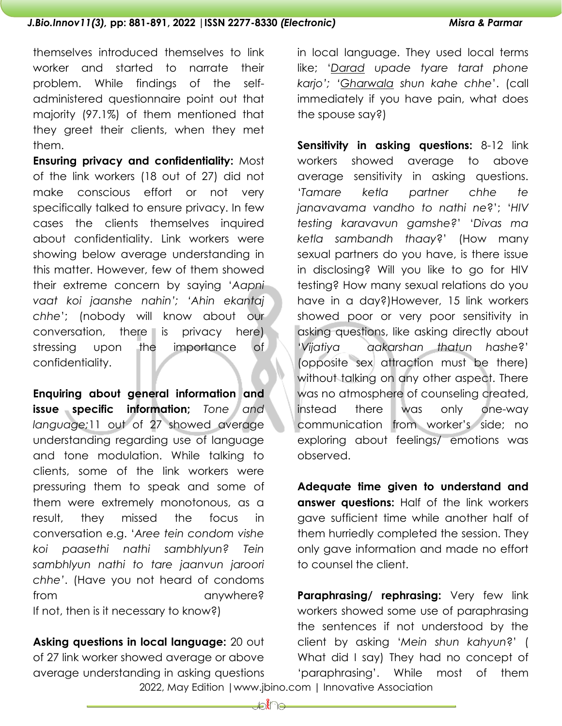themselves introduced themselves to link worker and started to narrate their problem. While findings of the selfadministered questionnaire point out that majority (97.1%) of them mentioned that they greet their clients, when they met them.

**Ensuring privacy and confidentiality:** Most of the link workers (18 out of 27) did not make conscious effort or not very specifically talked to ensure privacy. In few cases the clients themselves inquired about confidentiality. Link workers were showing below average understanding in this matter. However, few of them showed their extreme concern by saying '*Aapni vaat koi jaanshe nahin'; 'Ahin ekantaj chhe*'; (nobody will know about our conversation, there is privacy here) stressing upon the importance of confidentiality.

**Enquiring about general information and issue specific information;** Tone and *language;*11 out of 27 showed average understanding regarding use of language and tone modulation. While talking to clients, some of the link workers were pressuring them to speak and some of them were extremely monotonous, as a result, they missed the focus in conversation e.g. '*Aree tein condom vishe koi paasethi nathi sambhlyun? Tein sambhlyun nathi to tare jaanvun jaroori chhe'*. (Have you not heard of condoms from anywhere? If not, then is it necessary to know?)

 2022, May Edition |www.jbino.com | Innovative Association **Asking questions in local language:** 20 out of 27 link worker showed average or above average understanding in asking questions

in local language. They used local terms like; '*Darad upade tyare tarat phone karjo'; 'Gharwala shun kahe chhe*'. (call immediately if you have pain, what does the spouse say?)

**Sensitivity in asking questions:** 8-12 link workers showed average to above average sensitivity in asking questions. '*Tamare ketla partner chhe te janavavama vandho to nathi ne*?'; '*HIV testing karavavun gamshe?*' '*Divas ma ketla sambandh thaay*?' (How many sexual partners do you have, is there issue in disclosing? Will you like to go for HIV testing? How many sexual relations do you have in a day?)However, 15 link workers showed poor or very poor sensitivity in asking questions, like asking directly about '*Vijatiya aakarshan thatun hashe*?' (opposite sex attraction must be there) without talking on any other aspect. There was no atmosphere of counseling created, instead there was only one-way communication from worker's side; no exploring about feelings/ emotions was observed.

**Adequate time given to understand and answer questions:** Half of the link workers gave sufficient time while another half of them hurriedly completed the session. They only gave information and made no effort to counsel the client.

**Paraphrasing/ rephrasing:** Very few link workers showed some use of paraphrasing the sentences if not understood by the client by asking '*Mein shun kahyun*?' ( What did I say) They had no concept of 'paraphrasing'. While most of them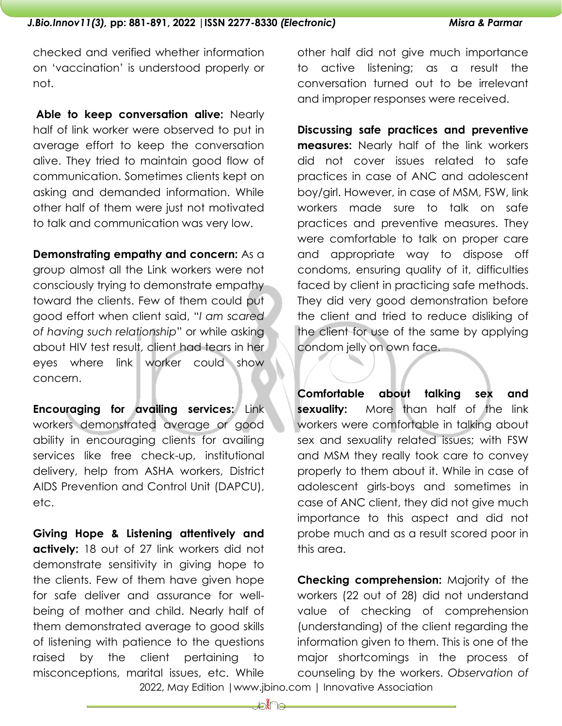checked and verified whether information on 'vaccination' is understood properly or not.

**Able to keep conversation alive:** Nearly half of link worker were observed to put in average effort to keep the conversation alive. They tried to maintain good flow of communication. Sometimes clients kept on asking and demanded information. While other half of them were just not motivated to talk and communication was very low.

### **Demonstrating empathy and concern:** As a

group almost all the Link workers were not consciously trying to demonstrate empathy toward the clients. Few of them could put good effort when client said, "*I am scared of having such relationship*" or while asking about HIV test result, client had tears in her eyes where link worker could show concern.

**Encouraging for availing services:** Link workers demonstrated average or good ability in encouraging clients for availing services like free check-up, institutional delivery, help from ASHA workers, District AIDS Prevention and Control Unit (DAPCU), etc.

**Giving Hope & Listening attentively and actively:** 18 out of 27 link workers did not demonstrate sensitivity in giving hope to the clients. Few of them have given hope for safe deliver and assurance for wellbeing of mother and child. Nearly half of them demonstrated average to good skills of listening with patience to the questions raised by the client pertaining to misconceptions, marital issues, etc. While

other half did not give much importance to active listening; as a result the conversation turned out to be irrelevant and improper responses were received.

**Discussing safe practices and preventive measures:** Nearly half of the link workers did not cover issues related to safe practices in case of ANC and adolescent boy/girl. However, in case of MSM, FSW, link workers made sure to talk on safe practices and preventive measures. They were comfortable to talk on proper care and appropriate way to dispose off condoms, ensuring quality of it, difficulties faced by client in practicing safe methods. They did very good demonstration before the client and tried to reduce disliking of the client for use of the same by applying condom jelly on own face.

**Comfortable about talking sex and sexuality:** More than half of the link workers were comfortable in talking about sex and sexuality related issues; with FSW and MSM they really took care to convey properly to them about it. While in case of adolescent girls-boys and sometimes in case of ANC client, they did not give much importance to this aspect and did not probe much and as a result scored poor in this area.

**Checking comprehension:** Majority of the workers (22 out of 28) did not understand value of checking of comprehension (understanding) of the client regarding the information given to them. This is one of the major shortcomings in the process of counseling by the workers. *Observation of*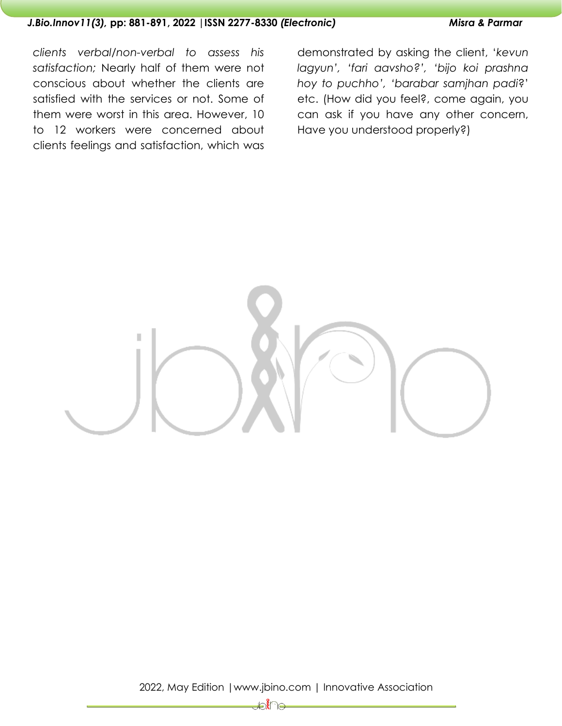*clients verbal/non-verbal to assess his satisfaction;* Nearly half of them were not conscious about whether the clients are satisfied with the services or not. Some of them were worst in this area. However, 10 to 12 workers were concerned about clients feelings and satisfaction, which was

demonstrated by asking the client, '*kevun lagyun', 'fari aavsho?', 'bijo koi prashna hoy to puchho', 'barabar samjhan padi*?' etc. (How did you feel?, come again, you can ask if you have any other concern, Have you understood properly?)

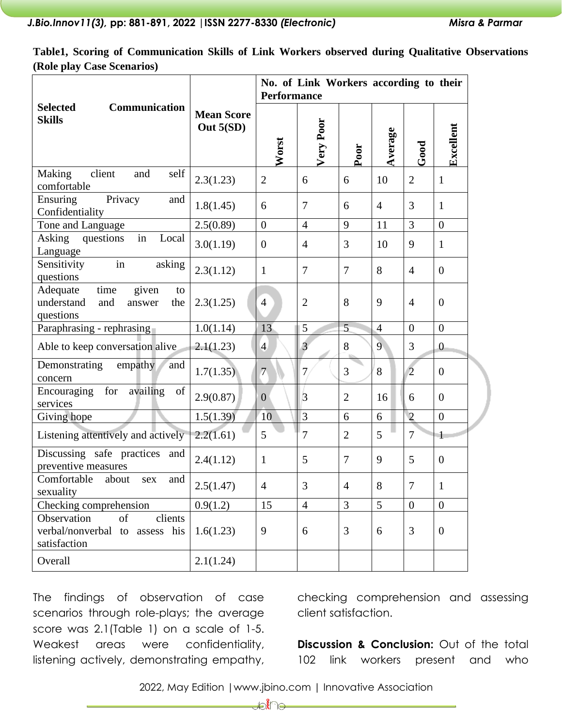**Table1, Scoring of Communication Skills of Link Workers observed during Qualitative Observations (Role play Case Scenarios)** 

| <b>Selected</b><br>Communication<br><b>Skills</b>                                  |                                | No. of Link Workers according to their<br><b>Performance</b> |                |                |                 |                  |                |
|------------------------------------------------------------------------------------|--------------------------------|--------------------------------------------------------------|----------------|----------------|-----------------|------------------|----------------|
|                                                                                    | <b>Mean Score</b><br>Out 5(SD) | Worst                                                        | Very Poor      | Poor           | Average         | Good             | Excellent      |
| client<br>Making<br>and<br>self<br>comfortable                                     | 2.3(1.23)                      | $\overline{2}$                                               | 6              | 6              | 10              | $\overline{2}$   | $\mathbf{1}$   |
| Privacy<br>Ensuring<br>and<br>Confidentiality                                      | 1.8(1.45)                      | 6                                                            | 7              | 6              | $\overline{4}$  | 3                | $\mathbf{1}$   |
| Tone and Language                                                                  | 2.5(0.89)                      | $\boldsymbol{0}$                                             | $\overline{4}$ | 9              | 11              | 3                | $\overline{0}$ |
| in<br>Asking<br>questions<br>Local<br>Language                                     | 3.0(1.19)                      | $\overline{0}$                                               | $\overline{4}$ | 3              | 10              | 9                | $\mathbf{1}$   |
| in<br>Sensitivity<br>asking<br>questions                                           | 2.3(1.12)                      | $\mathbf{1}$                                                 | 7              | $\overline{7}$ | 8               | $\overline{4}$   | $\overline{0}$ |
| time<br>given<br>Adequate<br>to<br>understand<br>and<br>the<br>answer<br>questions | 2.3(1.25)                      | $\overline{4}$                                               | $\overline{2}$ | 8              | 9               | $\overline{4}$   | $\overline{0}$ |
| Paraphrasing - rephrasing                                                          | 1.0(1.14)                      | 13                                                           | $\mathfrak{S}$ | 5              | $\overline{4}$  | $\overline{0}$   | $\overline{0}$ |
| Able to keep conversation alive                                                    | 2.1(1.23)                      | $\overline{4}$                                               | 3              | 8              | $\overline{9}$  | 3                | $\overline{0}$ |
| Demonstrating<br>empathy<br>and<br>concern                                         | 1.7(1.35)                      | $\overline{7}$                                               | $\tau$         | 3              | 8               | $\overline{2}$   | $\overline{0}$ |
| availing<br>for<br>Encouraging<br>of<br>services                                   | 2.9(0.87)                      | $\overline{0}$                                               | 3              | $\overline{2}$ | 16              | 6                | $\overline{0}$ |
| Giving hope                                                                        | 1.5(1.39)                      | 10                                                           | $\overline{3}$ | 6              | 6               | $\overline{2}$   | $\overline{0}$ |
| Listening attentively and actively                                                 | 2.2(1.61)                      | 5                                                            | 7              | $\overline{2}$ | 5               | $\overline{7}$   | $\mathbf{1}$   |
| Discussing safe practices<br>and<br>preventive measures                            | 2.4(1.12)                      | $\mathbf{1}$                                                 | 5              | 7              | 9               | 5                | $\overline{0}$ |
| Comfortable<br>about<br>and<br>sex<br>sexuality                                    | 2.5(1.47)                      | $\overline{4}$                                               | 3              | $\overline{4}$ | 8               | $\tau$           | $\mathbf{1}$   |
| Checking comprehension                                                             | 0.9(1.2)                       | 15                                                           | $\overline{4}$ | 3              | $5\overline{)}$ | $\boldsymbol{0}$ | $\overline{0}$ |
| clients<br>Observation<br>of<br>verbal/nonverbal to assess his<br>satisfaction     | 1.6(1.23)                      | 9                                                            | 6              | 3              | 6               | 3                | $\overline{0}$ |
| Overall                                                                            | 2.1(1.24)                      |                                                              |                |                |                 |                  |                |

The findings of observation of case scenarios through role-plays; the average score was 2.1(Table 1) on a scale of 1-5. Weakest areas were confidentiality, listening actively, demonstrating empathy, checking comprehension and assessing client satisfaction.

**Discussion & Conclusion:** Out of the total 102 link workers present and who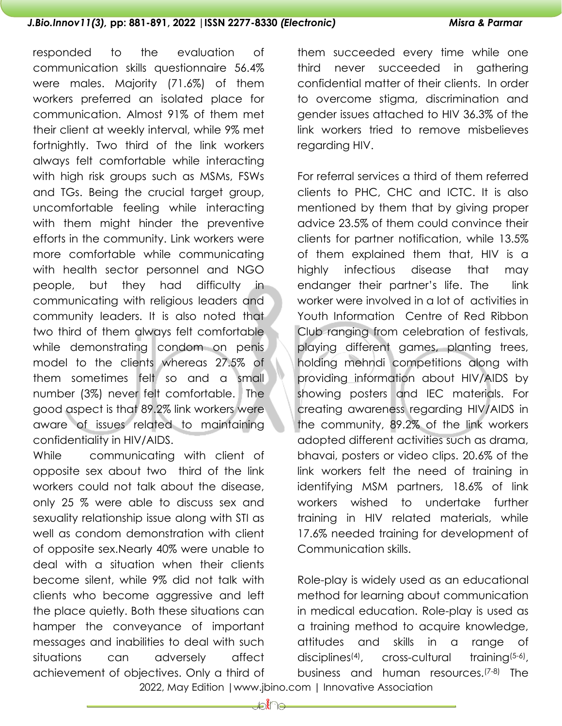responded to the evaluation of communication skills questionnaire 56.4% were males. Majority (71.6%) of them workers preferred an isolated place for communication. Almost 91% of them met their client at weekly interval, while 9% met fortnightly. Two third of the link workers always felt comfortable while interacting with high risk groups such as MSMs, FSWs and TGs. Being the crucial target group, uncomfortable feeling while interacting with them might hinder the preventive efforts in the community. Link workers were more comfortable while communicating with health sector personnel and NGO people, but they had difficulty in communicating with religious leaders and community leaders. It is also noted that two third of them always felt comfortable while demonstrating condom on penis model to the clients whereas 27.5% of them sometimes felt so and a small number (3%) never felt comfortable. The good aspect is that 89.2% link workers were aware of issues related to maintaining confidentiality in HIV/AIDS.

While communicating with client of opposite sex about two third of the link workers could not talk about the disease, only 25 % were able to discuss sex and sexuality relationship issue along with STI as well as condom demonstration with client of opposite sex.Nearly 40% were unable to deal with a situation when their clients become silent, while 9% did not talk with clients who become aggressive and left the place quietly. Both these situations can hamper the conveyance of important messages and inabilities to deal with such situations can adversely affect achievement of objectives. Only a third of

them succeeded every time while one third never succeeded in gathering confidential matter of their clients. In order to overcome stigma, discrimination and gender issues attached to HIV 36.3% of the link workers tried to remove misbelieves regarding HIV.

For referral services a third of them referred clients to PHC, CHC and ICTC. It is also mentioned by them that by giving proper advice 23.5% of them could convince their clients for partner notification, while 13.5% of them explained them that, HIV is a highly infectious disease that may endanger their partner's life. The link worker were involved in a lot of activities in Youth Information Centre of Red Ribbon Club ranging from celebration of festivals, playing different games, planting trees, holding mehndi competitions along with providing information about HIV/AIDS by showing posters and IEC materials. For creating awareness regarding HIV/AIDS in the community, 89.2% of the link workers adopted different activities such as drama, bhavai, posters or video clips. 20.6% of the link workers felt the need of training in identifying MSM partners, 18.6% of link workers wished to undertake further training in HIV related materials, while 17.6% needed training for development of Communication skills.

Role-play is widely used as an educational method for learning about communication in medical education. Role-play is used as a training method to acquire knowledge, attitudes and skills in a range of disciplines<sup>(4)</sup>, cross-cultural training $(5-6)$ , business and human resources.(7-8) The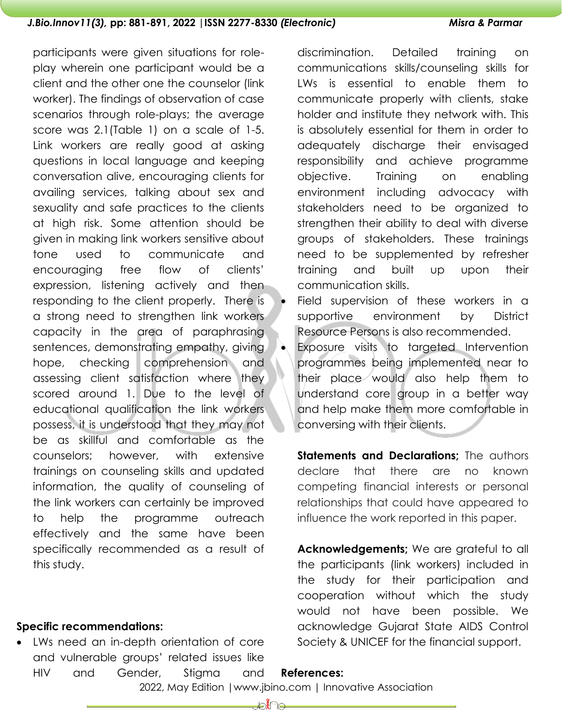participants were given situations for roleplay wherein one participant would be a client and the other one the counselor (link worker). The findings of observation of case scenarios through role-plays; the average score was 2.1(Table 1) on a scale of 1-5. Link workers are really good at asking questions in local language and keeping conversation alive, encouraging clients for availing services, talking about sex and sexuality and safe practices to the clients at high risk. Some attention should be given in making link workers sensitive about tone used to communicate and encouraging free flow of clients' expression, listening actively and then responding to the client properly. There is a strong need to strengthen link workers capacity in the area of paraphrasing sentences, demonstrating empathy, giving hope, checking comprehension and assessing client satisfaction where they scored around 1. Due to the level of educational qualification the link workers possess, it is understood that they may not be as skillful and comfortable as the counselors; however, with extensive trainings on counseling skills and updated information, the quality of counseling of the link workers can certainly be improved to help the programme outreach effectively and the same have been specifically recommended as a result of this study.

### **Specific recommendations:**

• LWs need an in-depth orientation of core and vulnerable groups' related issues like HIV and Gender, Stigma and discrimination. Detailed training on communications skills/counseling skills for LWs is essential to enable them to communicate properly with clients, stake holder and institute they network with. This is absolutely essential for them in order to adequately discharge their envisaged responsibility and achieve programme objective. Training on enabling environment including advocacy with stakeholders need to be organized to strengthen their ability to deal with diverse groups of stakeholders. These trainings need to be supplemented by refresher training and built up upon their communication skills.

- Field supervision of these workers in a supportive environment by District Resource Persons is also recommended.
- Exposure visits to targeted Intervention programmes being implemented near to their place would also help them to understand core group in a better way and help make them more comfortable in conversing with their clients.

**Statements and Declarations;** The authors declare that there are no known competing financial interests or personal relationships that could have appeared to influence the work reported in this paper.

**Acknowledgements;** We are grateful to all the participants (link workers) included in the study for their participation and cooperation without which the study would not have been possible. We acknowledge Gujarat State AIDS Control Society & UNICEF for the financial support.

2022, May Edition |www.jbino.com | Innovative Association

**References:**